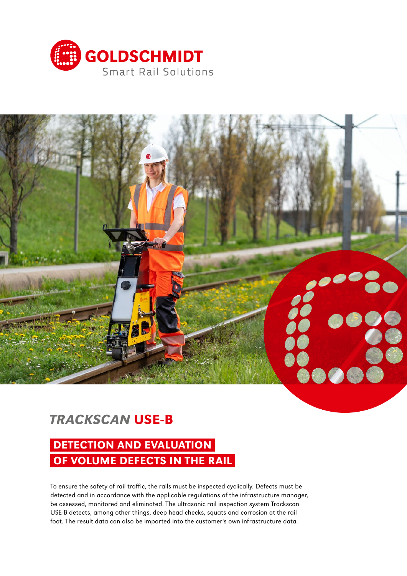



# *TRACKSCAN* USE-B

# DETECTION AND EVALUATION OF VOLUME DEFECTS IN THE RAIL

To ensure the safety of rail traffic, the rails must be inspected cyclically. Defects must be detected and in accordance with the applicable regulations of the infrastructure manager, be assessed, monitored and eliminated. The ultrasonic rail inspection system Trackscan USE-B detects, among other things, deep head checks, squats and corrosion at the rail foot. The result data can also be imported into the customer's own infrastructure data.